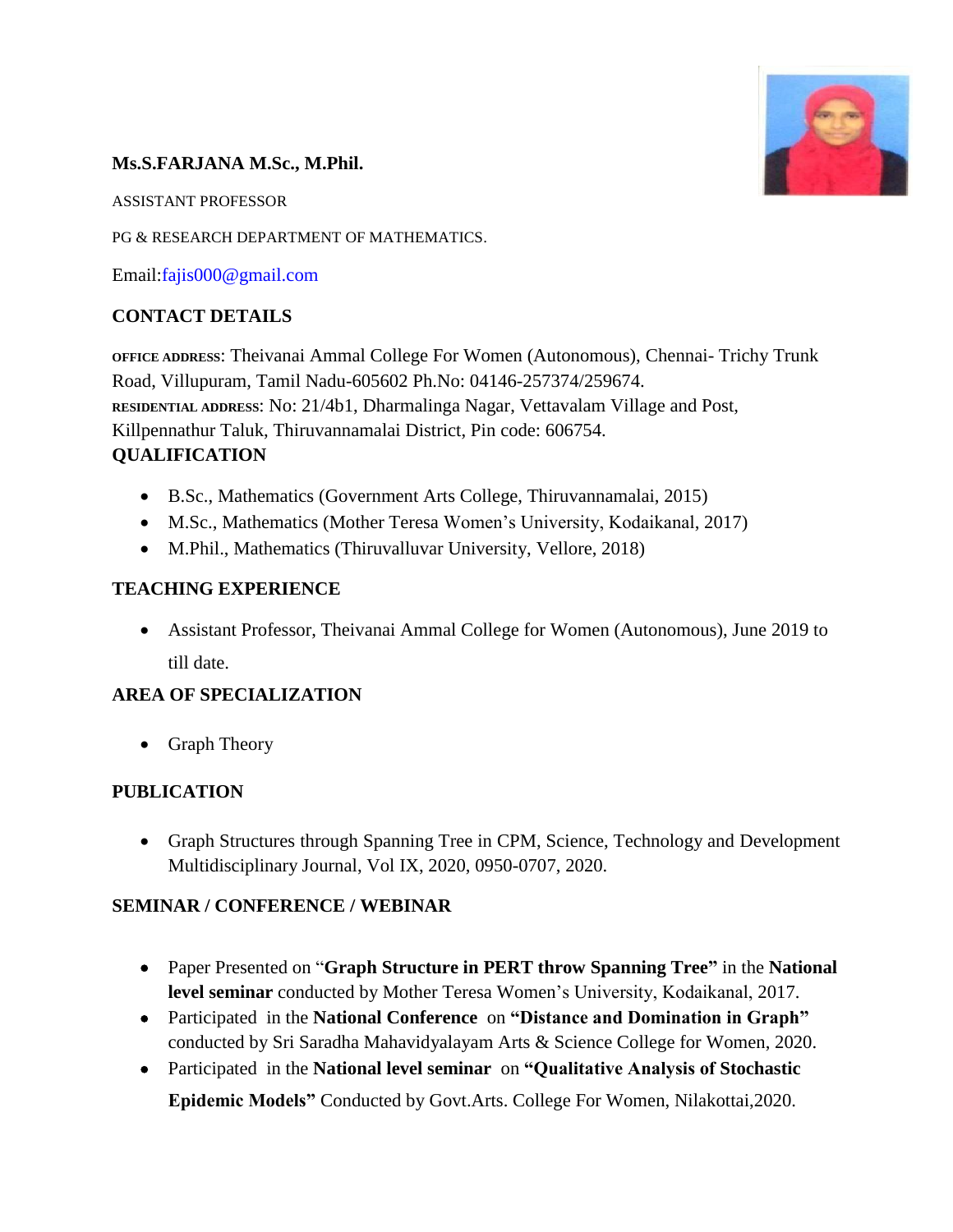# **Ms.S.FARJANA M.Sc., M.Phil.**

ASSISTANT PROFESSOR

PG & RESEARCH DEPARTMENT OF MATHEMATICS.

Email[:fajis000@gmail.com](mailto:fajis000@gmail.com)

# **CONTACT DETAILS**

**OFFICE ADDRESS**: Theivanai Ammal College For Women (Autonomous), Chennai- Trichy Trunk Road, Villupuram, Tamil Nadu-605602 Ph.No: 04146-257374/259674. **RESIDENTIAL ADDRESS**: No: 21/4b1, Dharmalinga Nagar, Vettavalam Village and Post, Killpennathur Taluk, Thiruvannamalai District, Pin code: 606754. **QUALIFICATION**

- B.Sc., Mathematics (Government Arts College, Thiruvannamalai, 2015)
- M.Sc., Mathematics (Mother Teresa Women's University, Kodaikanal, 2017)
- M.Phil., Mathematics (Thiruvalluvar University, Vellore, 2018)

# **TEACHING EXPERIENCE**

 Assistant Professor, Theivanai Ammal College for Women (Autonomous), June 2019 to till date.

# **AREA OF SPECIALIZATION**

• Graph Theory

# **PUBLICATION**

 Graph Structures through Spanning Tree in CPM, Science, Technology and Development Multidisciplinary Journal, Vol IX, 2020, 0950-0707, 2020.

# **SEMINAR / CONFERENCE / WEBINAR**

- Paper Presented on "**Graph Structure in PERT throw Spanning Tree"** in the **National level seminar** conducted by Mother Teresa Women's University, Kodaikanal, 2017.
- Participatedin the **National Conference** on **"Distance and Domination in Graph"**  conducted by Sri Saradha Mahavidyalayam Arts & Science College for Women, 2020.
- Participated in the **National level seminar** on "Qualitative Analysis of Stochastic **Epidemic Models"** Conducted by Govt.Arts. College For Women, Nilakottai,2020.